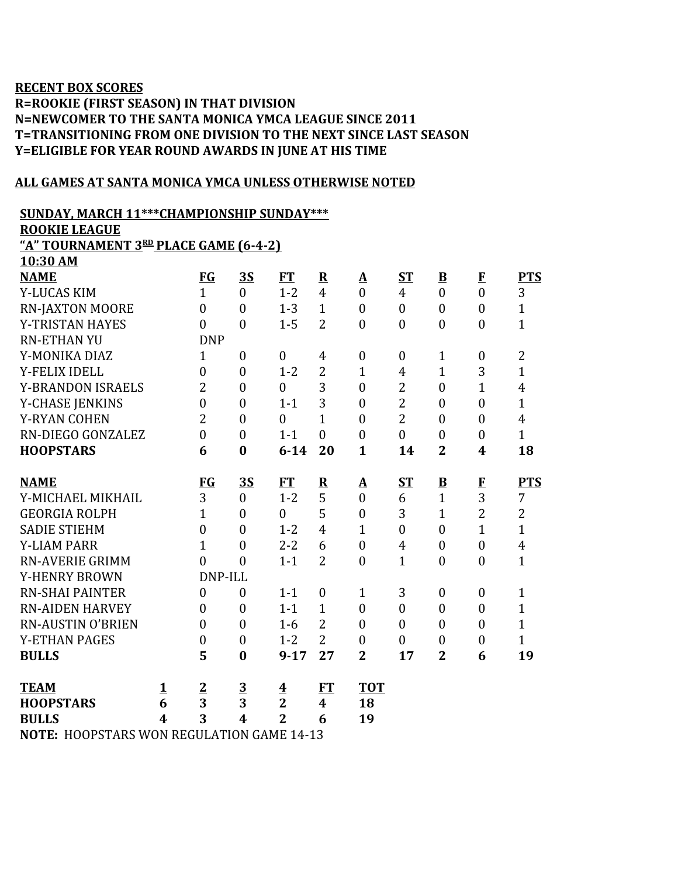## **RECENT BOX SCORES R=ROOKIE (FIRST SEASON) IN THAT DIVISION N=NEWCOMER TO THE SANTA MONICA YMCA LEAGUE SINCE 2011 T=TRANSITIONING FROM ONE DIVISION TO THE NEXT SINCE LAST SEASON Y=ELIGIBLE FOR YEAR ROUND AWARDS IN JUNE AT HIS TIME**

## **ALL GAMES AT SANTA MONICA YMCA UNLESS OTHERWISE NOTED**

**SUNDAY, MARCH 11\*\*\*CHAMPIONSHIP SUNDAY\*\*\***

**ROOKIE LEAGUE**

**10:30 AM**

**"A" TOURNAMENT 3 RD PLACE GAME (6-4-2)**

| <b>NAME</b>                                |   | FG               | <u>3S</u>               | <b>FT</b>               | $\underline{\mathbf{R}}$ | $\underline{\mathbf{A}}$ | ST               | $\overline{\mathbf{B}}$ | $\bf{F}$         | <b>PTS</b>              |
|--------------------------------------------|---|------------------|-------------------------|-------------------------|--------------------------|--------------------------|------------------|-------------------------|------------------|-------------------------|
| Y-LUCAS KIM                                |   | $\mathbf{1}$     | $\overline{0}$          | $1 - 2$                 | $\overline{4}$           | $\overline{0}$           | $\overline{4}$   | $\overline{0}$          | $\overline{0}$   | 3                       |
| <b>RN-JAXTON MOORE</b>                     |   | $\theta$         | $\overline{0}$          | $1 - 3$                 | $\mathbf{1}$             | $\mathbf{0}$             | $\mathbf{0}$     | $\boldsymbol{0}$        | $\mathbf{0}$     | $\mathbf{1}$            |
| Y-TRISTAN HAYES                            |   | $\mathbf{0}$     | $\overline{0}$          | $1 - 5$                 | $\overline{2}$           | $\mathbf{0}$             | $\overline{0}$   | $\boldsymbol{0}$        | $\boldsymbol{0}$ | $\mathbf{1}$            |
| <b>RN-ETHAN YU</b>                         |   | <b>DNP</b>       |                         |                         |                          |                          |                  |                         |                  |                         |
| Y-MONIKA DIAZ                              |   | $\mathbf{1}$     | $\overline{0}$          | $\mathbf{0}$            | 4                        | $\mathbf{0}$             | $\overline{0}$   | $\mathbf{1}$            | $\mathbf{0}$     | $\overline{2}$          |
| <b>Y-FELIX IDELL</b>                       |   | $\overline{0}$   | $\boldsymbol{0}$        | $1 - 2$                 | $\overline{2}$           | $\mathbf{1}$             | $\overline{4}$   | $\overline{1}$          | 3                | $\mathbf{1}$            |
| <b>Y-BRANDON ISRAELS</b>                   |   | $\overline{2}$   | $\boldsymbol{0}$        | $\mathbf{0}$            | 3                        | $\boldsymbol{0}$         | $\overline{2}$   | $\mathbf{0}$            | $\overline{1}$   | $\overline{\mathbf{4}}$ |
| Y-CHASE JENKINS                            |   | $\boldsymbol{0}$ | $\boldsymbol{0}$        | $1 - 1$                 | 3                        | $\boldsymbol{0}$         | $\overline{2}$   | $\boldsymbol{0}$        | $\boldsymbol{0}$ | $\mathbf{1}$            |
| <b>Y-RYAN COHEN</b>                        |   | $\overline{2}$   | $\overline{0}$          | $\overline{0}$          | $\overline{1}$           | $\overline{0}$           | $\overline{2}$   | $\overline{0}$          | $\overline{0}$   | $\overline{\mathbf{4}}$ |
| RN-DIEGO GONZALEZ                          |   | $\overline{0}$   | $\boldsymbol{0}$        | $1 - 1$                 | $\overline{0}$           | $\boldsymbol{0}$         | $\overline{0}$   | $\boldsymbol{0}$        | $\boldsymbol{0}$ | $\mathbf{1}$            |
| <b>HOOPSTARS</b>                           |   | 6                | $\bf{0}$                | $6 - 14$                | 20                       | $\mathbf{1}$             | 14               | $\overline{2}$          | 4                | 18                      |
|                                            |   |                  |                         |                         |                          |                          |                  |                         |                  |                         |
| <b>NAME</b>                                |   | FG               | <u>3S</u>               | <b>FT</b>               | $\overline{\mathbf{R}}$  | $\Delta$                 | ST               | $\overline{\mathbf{B}}$ | ${\bf F}$        | <b>PTS</b>              |
| Y-MICHAEL MIKHAIL                          |   | 3                | $\overline{0}$          | $1 - 2$                 | 5                        | $\overline{0}$           | 6                | $\mathbf{1}$            | 3                | $\overline{7}$          |
| <b>GEORGIA ROLPH</b>                       |   | 1                | $\overline{0}$          | $\theta$                | 5                        | $\boldsymbol{0}$         | 3                | $\mathbf{1}$            | $\overline{2}$   | $\overline{2}$          |
| <b>SADIE STIEHM</b>                        |   | $\overline{0}$   | $\overline{0}$          | $1 - 2$                 | $\overline{4}$           | $\mathbf{1}$             | $\overline{0}$   | $\mathbf{0}$            | $\mathbf{1}$     | $\mathbf{1}$            |
| <b>Y-LIAM PARR</b>                         |   | $\mathbf{1}$     | $\boldsymbol{0}$        | $2 - 2$                 | 6                        | $\boldsymbol{0}$         | $\overline{4}$   | $\boldsymbol{0}$        | $\boldsymbol{0}$ | 4                       |
| <b>RN-AVERIE GRIMM</b>                     |   | $\overline{0}$   | $\overline{0}$          | $1 - 1$                 | $\overline{2}$           | $\boldsymbol{0}$         | $\mathbf{1}$     | $\boldsymbol{0}$        | $\mathbf{0}$     | $\mathbf{1}$            |
| <b>Y-HENRY BROWN</b>                       |   | DNP-ILL          |                         |                         |                          |                          |                  |                         |                  |                         |
| <b>RN-SHAI PAINTER</b>                     |   | $\boldsymbol{0}$ | $\boldsymbol{0}$        | $1 - 1$                 | $\boldsymbol{0}$         | $\mathbf{1}$             | 3                | $\boldsymbol{0}$        | $\boldsymbol{0}$ | $\mathbf{1}$            |
| <b>RN-AIDEN HARVEY</b>                     |   | $\theta$         | $\overline{0}$          | $1 - 1$                 | $\mathbf{1}$             | $\overline{0}$           | $\boldsymbol{0}$ | $\boldsymbol{0}$        | $\overline{0}$   | $\mathbf{1}$            |
| <b>RN-AUSTIN O'BRIEN</b>                   |   | $\overline{0}$   | $\overline{0}$          | $1 - 6$                 | $\overline{2}$           | $\boldsymbol{0}$         | $\overline{0}$   | $\boldsymbol{0}$        | $\boldsymbol{0}$ | $\mathbf{1}$            |
| <b>Y-ETHAN PAGES</b>                       |   | $\boldsymbol{0}$ | $\boldsymbol{0}$        | $1 - 2$                 | $\overline{2}$           | $\boldsymbol{0}$         | $\boldsymbol{0}$ | $\boldsymbol{0}$        | $\boldsymbol{0}$ | $\mathbf{1}$            |
| <b>BULLS</b>                               |   | 5                | $\bf{0}$                | $9 - 17$                | 27                       | $\overline{2}$           | 17               | $\overline{2}$          | 6                | 19                      |
|                                            |   |                  |                         |                         |                          |                          |                  |                         |                  |                         |
| <b>TEAM</b>                                | 1 | $\overline{2}$   | $\overline{\mathbf{3}}$ | $\overline{\textbf{4}}$ | <b>FT</b>                | <b>TOT</b>               |                  |                         |                  |                         |
| <b>HOOPSTARS</b>                           | 6 | 3                | $\overline{3}$          | $\overline{2}$          | $\boldsymbol{4}$         | 18                       |                  |                         |                  |                         |
| <b>BULLS</b>                               | 4 | 3                | $\overline{\mathbf{4}}$ | $\overline{2}$          | 6                        | 19                       |                  |                         |                  |                         |
| MOTE. HOODSTADS MON DECHI ATION CAME 14 12 |   |                  |                         |                         |                          |                          |                  |                         |                  |                         |

**NOTE:** HOOPSTARS WON REGULATION GAME 14-13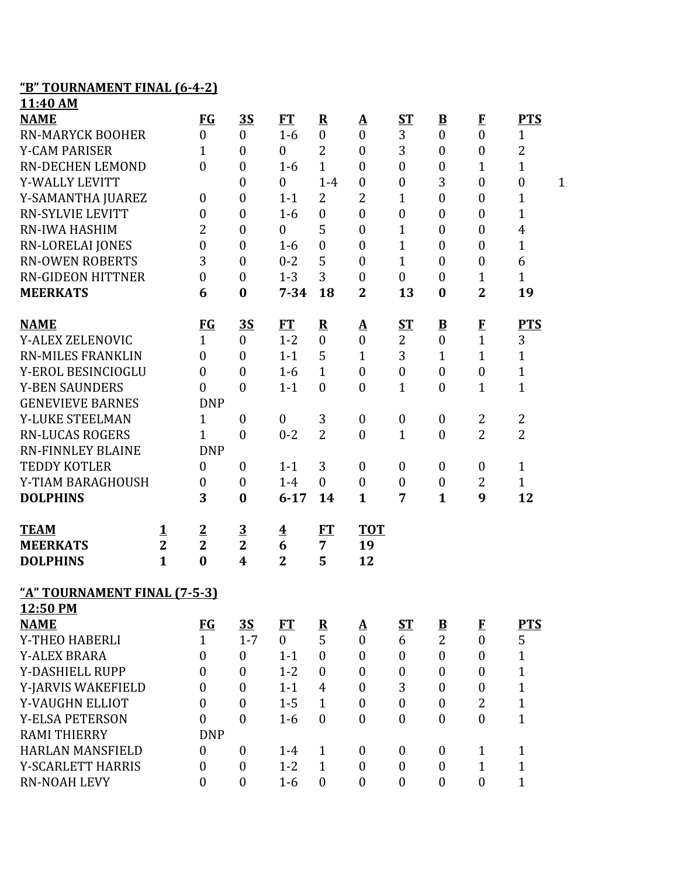## **"B" TOURNAMENT FINAL (6-4-2)**

| 11:40 AM                     |                |                  |                  |                         |                         |                          |                  |                          |                  |                                  |
|------------------------------|----------------|------------------|------------------|-------------------------|-------------------------|--------------------------|------------------|--------------------------|------------------|----------------------------------|
| <b>NAME</b>                  |                | FG               | <u>3S</u>        | <b>FT</b>               | ${\bf R}$               | <u>A</u>                 | <b>ST</b>        | $\underline{\mathbf{B}}$ | $\bf{F}$         | <b>PTS</b>                       |
| <b>RN-MARYCK BOOHER</b>      |                | $\boldsymbol{0}$ | $\boldsymbol{0}$ | $1-6$                   | $\boldsymbol{0}$        | $\boldsymbol{0}$         | 3                | $\mathbf{0}$             | $\overline{0}$   | $\mathbf{1}$                     |
| <b>Y-CAM PARISER</b>         |                | 1                | $\boldsymbol{0}$ | $\boldsymbol{0}$        | $\overline{2}$          | $\boldsymbol{0}$         | 3                | $\mathbf{0}$             | $\boldsymbol{0}$ | $\overline{2}$                   |
| <b>RN-DECHEN LEMOND</b>      |                | $\overline{0}$   | $\boldsymbol{0}$ | $1-6$                   | $\mathbf{1}$            | $\boldsymbol{0}$         | $\boldsymbol{0}$ | $\boldsymbol{0}$         | $\mathbf{1}$     | $\mathbf{1}$                     |
| Y-WALLY LEVITT               |                |                  | $\boldsymbol{0}$ | $\boldsymbol{0}$        | $1-4$                   | $\boldsymbol{0}$         | $\boldsymbol{0}$ | 3                        | $\boldsymbol{0}$ | $\boldsymbol{0}$<br>$\mathbf{1}$ |
| Y-SAMANTHA JUAREZ            |                | $\boldsymbol{0}$ | $\boldsymbol{0}$ | $1 - 1$                 | 2                       | 2                        | $\mathbf{1}$     | $\mathbf{0}$             | $\boldsymbol{0}$ | $\mathbf{1}$                     |
| <b>RN-SYLVIE LEVITT</b>      |                | $\overline{0}$   | $\boldsymbol{0}$ | $1-6$                   | $\mathbf{0}$            | $\boldsymbol{0}$         | $\boldsymbol{0}$ | $\mathbf{0}$             | $\boldsymbol{0}$ | $\mathbf 1$                      |
| <b>RN-IWA HASHIM</b>         |                | 2                | $\boldsymbol{0}$ | $\boldsymbol{0}$        | 5                       | $\boldsymbol{0}$         | $\mathbf{1}$     | $\boldsymbol{0}$         | $\boldsymbol{0}$ | 4                                |
| <b>RN-LORELAI JONES</b>      |                | $\boldsymbol{0}$ | $\boldsymbol{0}$ | $1-6$                   | $\boldsymbol{0}$        | $\boldsymbol{0}$         | $\mathbf{1}$     | $\mathbf{0}$             | $\boldsymbol{0}$ | $\mathbf{1}$                     |
| <b>RN-OWEN ROBERTS</b>       |                | 3                | $\boldsymbol{0}$ | $0 - 2$                 | 5                       | $\overline{0}$           | $\mathbf{1}$     | $\mathbf{0}$             | $\boldsymbol{0}$ | 6                                |
| <b>RN-GIDEON HITTNER</b>     |                | $\overline{0}$   | $\boldsymbol{0}$ | $1 - 3$                 | 3                       | $\boldsymbol{0}$         | $\boldsymbol{0}$ | $\boldsymbol{0}$         | $\mathbf 1$      | $\mathbf{1}$                     |
| <b>MEERKATS</b>              |                | 6                | $\bf{0}$         | $7 - 34$                | 18                      | $\overline{2}$           | 13               | $\boldsymbol{0}$         | $\overline{2}$   | 19                               |
| <b>NAME</b>                  |                | $FG$             | <u>3S</u>        | FT                      | $\overline{\mathbf{R}}$ | $\underline{\mathbf{A}}$ | <u>ST</u>        | $\overline{\mathbf{B}}$  | $\bf{F}$         | <b>PTS</b>                       |
| Y-ALEX ZELENOVIC             |                | $\mathbf{1}$     | $\overline{0}$   | $1 - 2$                 | $\mathbf{0}$            | $\mathbf{0}$             | $\overline{2}$   | $\mathbf{0}$             | $\mathbf{1}$     | 3                                |
| <b>RN-MILES FRANKLIN</b>     |                | $\overline{0}$   | $\boldsymbol{0}$ | $1 - 1$                 | 5                       | $\mathbf{1}$             | 3                | $\mathbf{1}$             | $\mathbf{1}$     | $\mathbf{1}$                     |
| Y-EROL BESINCIOGLU           |                | $\boldsymbol{0}$ | $\boldsymbol{0}$ | $1-6$                   | $\mathbf{1}$            | $\boldsymbol{0}$         | $\boldsymbol{0}$ | $\mathbf{0}$             | $\boldsymbol{0}$ | $\mathbf{1}$                     |
| <b>Y-BEN SAUNDERS</b>        |                | $\theta$         | $\boldsymbol{0}$ | $1 - 1$                 | $\mathbf{0}$            | $\overline{0}$           | $\mathbf{1}$     | $\boldsymbol{0}$         | $\mathbf 1$      | $\mathbf{1}$                     |
| <b>GENEVIEVE BARNES</b>      |                | <b>DNP</b>       |                  |                         |                         |                          |                  |                          |                  |                                  |
| Y-LUKE STEELMAN              |                | $\mathbf{1}$     | $\boldsymbol{0}$ | $\boldsymbol{0}$        | 3                       | $\boldsymbol{0}$         | $\boldsymbol{0}$ | $\mathbf{0}$             | 2                | $\overline{c}$                   |
| <b>RN-LUCAS ROGERS</b>       |                | $\mathbf{1}$     | $\boldsymbol{0}$ | $0 - 2$                 | $\overline{2}$          | $\overline{0}$           | $\mathbf{1}$     | $\mathbf{0}$             | $\overline{2}$   | $\overline{2}$                   |
| <b>RN-FINNLEY BLAINE</b>     |                | <b>DNP</b>       |                  |                         |                         |                          |                  |                          |                  |                                  |
| <b>TEDDY KOTLER</b>          |                | $\boldsymbol{0}$ | $\boldsymbol{0}$ | $1 - 1$                 | 3                       | $\boldsymbol{0}$         | $\boldsymbol{0}$ | $\mathbf{0}$             | $\boldsymbol{0}$ | $\mathbf{1}$                     |
| Y-TIAM BARAGHOUSH            |                | $\boldsymbol{0}$ | $\boldsymbol{0}$ | $1-4$                   | $\mathbf{0}$            | $\boldsymbol{0}$         | $\boldsymbol{0}$ | $\boldsymbol{0}$         | $\overline{2}$   | $\mathbf{1}$                     |
| <b>DOLPHINS</b>              |                | 3                | $\bf{0}$         | $6 - 17$                | 14                      | $\mathbf{1}$             | 7                | $\mathbf{1}$             | 9                | 12                               |
| <b>TEAM</b>                  | 1              | $\overline{2}$   | $\overline{3}$   | $\overline{\mathbf{4}}$ | FT                      | <b>TOT</b>               |                  |                          |                  |                                  |
| <b>MEERKATS</b>              | $\overline{2}$ | $\overline{2}$   | $\overline{2}$   | 6                       | 7                       | 19                       |                  |                          |                  |                                  |
| <b>DOLPHINS</b>              | $\mathbf{1}$   | $\bf{0}$         | 4                | $\overline{2}$          | 5                       | 12                       |                  |                          |                  |                                  |
| "A" TOURNAMENT FINAL (7-5-3) |                |                  |                  |                         |                         |                          |                  |                          |                  |                                  |
| 12:50 PM                     |                |                  |                  |                         |                         |                          |                  |                          |                  |                                  |
| <b>NAME</b>                  |                | <b>FG</b>        | <u>3S</u>        | FT                      | ${\bf R}$               | $\Delta$                 | ST               | $\mathbf{B}$             | F                | <b>PTS</b>                       |
| Y-THEO HABERLI               |                | $\mathbf{1}$     | $1 - 7$          | $\overline{0}$          | 5                       | $\boldsymbol{0}$         | 6                | $\overline{2}$           | $\boldsymbol{0}$ | 5                                |
| <b>Y-ALEX BRARA</b>          |                | $\mathbf{0}$     | $\boldsymbol{0}$ | $1 - 1$                 | $\mathbf{0}$            | $\mathbf{0}$             | $\boldsymbol{0}$ | $\mathbf{0}$             | $\boldsymbol{0}$ | $\mathbf 1$                      |
| Y-DASHIELL RUPP              |                | $\boldsymbol{0}$ | $\boldsymbol{0}$ | $1 - 2$                 | $\theta$                | $\boldsymbol{0}$         | $\boldsymbol{0}$ | $\mathbf{0}$             | $\boldsymbol{0}$ | $\mathbf{1}$                     |
| Y-JARVIS WAKEFIELD           |                | $\boldsymbol{0}$ | $\boldsymbol{0}$ | $1 - 1$                 | 4                       | $\boldsymbol{0}$         | 3                | $\mathbf{0}$             | $\boldsymbol{0}$ | $\mathbf{1}$                     |
| Y-VAUGHN ELLIOT              |                | $\theta$         | $\boldsymbol{0}$ | $1 - 5$                 | $\mathbf{1}$            | $\boldsymbol{0}$         | $\boldsymbol{0}$ | $\theta$                 | $\overline{2}$   | $\mathbf{1}$                     |
| <b>Y-ELSA PETERSON</b>       |                | $\mathbf{0}$     | $\boldsymbol{0}$ | $1-6$                   | $\mathbf{0}$            | $\mathbf{0}$             | $\boldsymbol{0}$ | $\mathbf{0}$             | $\mathbf{0}$     | $\mathbf{1}$                     |
| <b>RAMI THIERRY</b>          |                | <b>DNP</b>       |                  |                         |                         |                          |                  |                          |                  |                                  |
| <b>HARLAN MANSFIELD</b>      |                | $\theta$         | $\mathbf{0}$     | $1 - 4$                 | $\mathbf{1}$            | $\boldsymbol{0}$         | $\boldsymbol{0}$ | $\mathbf{0}$             | $\mathbf{1}$     | $\mathbf{1}$                     |
| Y-SCARLETT HARRIS            |                | $\mathbf{0}$     | $\boldsymbol{0}$ | $1 - 2$                 | $\mathbf{1}$            | $\boldsymbol{0}$         | $\boldsymbol{0}$ | $\overline{0}$           | $\mathbf{1}$     | $\mathbf{1}$                     |
| RN-NOAH LEVY                 |                | $\mathbf{0}$     | $\boldsymbol{0}$ | $1-6$                   | $\overline{0}$          | $\boldsymbol{0}$         | $\boldsymbol{0}$ | $\mathbf{0}$             | $\boldsymbol{0}$ | $\mathbf{1}$                     |
|                              |                |                  |                  |                         |                         |                          |                  |                          |                  |                                  |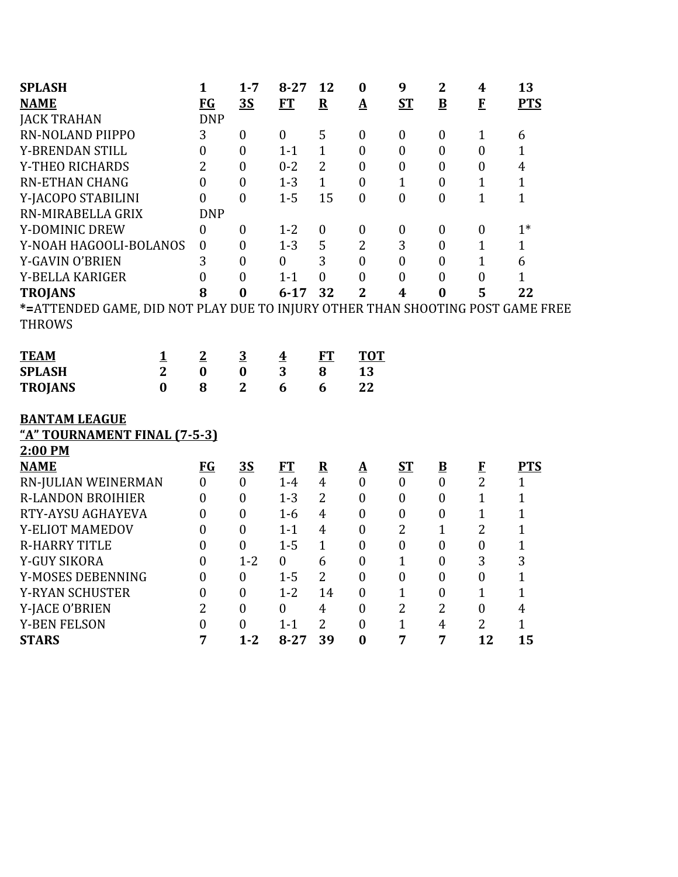| <b>SPLASH</b>                                                                  |                | $\mathbf{1}$     | $1 - 7$          | $8 - 27$                | 12                      | $\bf{0}$                   | 9                       | $\overline{2}$           | $\boldsymbol{4}$ | 13             |
|--------------------------------------------------------------------------------|----------------|------------------|------------------|-------------------------|-------------------------|----------------------------|-------------------------|--------------------------|------------------|----------------|
| <b>NAME</b>                                                                    |                | <b>FG</b>        | 3S               | <b>FT</b>               | $\overline{\mathbf{R}}$ | $\mathbf A$                | ST                      | $\bf{B}$                 | $\mathbf{F}$     | <b>PTS</b>     |
| <b>JACK TRAHAN</b>                                                             |                | <b>DNP</b>       |                  |                         |                         |                            |                         |                          |                  |                |
| RN-NOLAND PIIPPO                                                               |                | 3                | $\boldsymbol{0}$ | $\boldsymbol{0}$        | 5                       | $\boldsymbol{0}$           | $\boldsymbol{0}$        | $\boldsymbol{0}$         | $\mathbf{1}$     | 6              |
| Y-BRENDAN STILL                                                                |                | $\mathbf{0}$     | $\boldsymbol{0}$ | $1 - 1$                 | $\mathbf{1}$            | $\boldsymbol{0}$           | $\boldsymbol{0}$        | $\boldsymbol{0}$         | $\boldsymbol{0}$ | $\mathbf{1}$   |
| Y-THEO RICHARDS                                                                |                | $\overline{2}$   | $\boldsymbol{0}$ | $0 - 2$                 | $\overline{2}$          | $\mathbf{0}$               | $\overline{0}$          | $\overline{0}$           | $\boldsymbol{0}$ | $\overline{4}$ |
| <b>RN-ETHAN CHANG</b>                                                          |                | $\overline{0}$   | $\boldsymbol{0}$ | $1 - 3$                 | $\mathbf{1}$            | $\boldsymbol{0}$           | $\mathbf{1}$            | $\mathbf{0}$             | $\mathbf{1}$     | $\mathbf{1}$   |
| Y-JACOPO STABILINI                                                             |                | $\overline{0}$   | $\boldsymbol{0}$ | $1 - 5$                 | 15                      | $\boldsymbol{0}$           | $\boldsymbol{0}$        | $\boldsymbol{0}$         | $\mathbf{1}$     | $\mathbf{1}$   |
| RN-MIRABELLA GRIX                                                              |                | <b>DNP</b>       |                  |                         |                         |                            |                         |                          |                  |                |
| Y-DOMINIC DREW                                                                 |                | $\boldsymbol{0}$ | $\boldsymbol{0}$ | $1 - 2$                 | $\boldsymbol{0}$        | $\boldsymbol{0}$           | $\boldsymbol{0}$        | $\boldsymbol{0}$         | $\boldsymbol{0}$ | $1*$           |
| Y-NOAH HAGOOLI-BOLANOS                                                         |                | $\boldsymbol{0}$ | $\boldsymbol{0}$ | $1 - 3$                 | 5                       | $\overline{2}$             | 3                       | $\boldsymbol{0}$         | $\mathbf{1}$     | $\mathbf{1}$   |
| Y-GAVIN O'BRIEN                                                                |                | 3                | $\boldsymbol{0}$ | $\overline{0}$          | 3                       | $\boldsymbol{0}$           | $\overline{0}$          | $\mathbf{0}$             | $\mathbf{1}$     | 6              |
| Y-BELLA KARIGER                                                                |                | $\overline{0}$   | $\boldsymbol{0}$ | $1 - 1$                 | $\boldsymbol{0}$        | $\boldsymbol{0}$           | $\boldsymbol{0}$        | $\boldsymbol{0}$         | $\boldsymbol{0}$ | $\mathbf{1}$   |
| <b>TROJANS</b>                                                                 |                | 8                | $\bf{0}$         | $6 - 17$                | 32                      | $\overline{2}$             | $\overline{\mathbf{4}}$ | $\bf{0}$                 | 5                | 22             |
| *=ATTENDED GAME, DID NOT PLAY DUE TO INJURY OTHER THAN SHOOTING POST GAME FREE |                |                  |                  |                         |                         |                            |                         |                          |                  |                |
| <b>THROWS</b>                                                                  |                |                  |                  |                         |                         |                            |                         |                          |                  |                |
|                                                                                |                |                  |                  |                         |                         |                            |                         |                          |                  |                |
| <b>TEAM</b>                                                                    | <u>1</u>       | $\overline{2}$   | $\overline{3}$   | $\overline{\mathbf{4}}$ | FT                      | <b>TOT</b>                 |                         |                          |                  |                |
| <b>SPLASH</b>                                                                  | $\overline{2}$ | $\bf{0}$         | $\bf{0}$         | 3                       | 8                       | 13                         |                         |                          |                  |                |
| <b>TROJANS</b>                                                                 | $\mathbf{0}$   | 8                | $\overline{2}$   | 6                       | 6                       | 22                         |                         |                          |                  |                |
|                                                                                |                |                  |                  |                         |                         |                            |                         |                          |                  |                |
| <b>BANTAM LEAGUE</b>                                                           |                |                  |                  |                         |                         |                            |                         |                          |                  |                |
| "A" TOURNAMENT FINAL (7-5-3)                                                   |                |                  |                  |                         |                         |                            |                         |                          |                  |                |
| 2:00 PM                                                                        |                |                  |                  |                         |                         |                            |                         |                          |                  |                |
| <b>NAME</b>                                                                    |                | <b>FG</b>        | 3S               | FT                      | $\mathbf R$             | ${\underline{\mathbf{A}}}$ | ST                      | $\underline{\mathbf{B}}$ | $\bf{F}$         | <b>PTS</b>     |
| RN-JULIAN WEINERMAN                                                            |                | $\mathbf{0}$     | $\mathbf{0}$     | $1-4$                   | $\overline{4}$          | $\boldsymbol{0}$           | $\boldsymbol{0}$        | $\boldsymbol{0}$         | $\overline{2}$   | $\mathbf{1}$   |
| <b>R-LANDON BROIHIER</b>                                                       |                | $\overline{0}$   | $\boldsymbol{0}$ | $1 - 3$                 | $\overline{2}$          | $\boldsymbol{0}$           | $\overline{0}$          | $\overline{0}$           | $\mathbf{1}$     | $\mathbf 1$    |
| RTY-AYSU AGHAYEVA                                                              |                | $\mathbf{0}$     | $\boldsymbol{0}$ | $1-6$                   | $\overline{4}$          | $\boldsymbol{0}$           | $\boldsymbol{0}$        | $\boldsymbol{0}$         | $\mathbf{1}$     | $\mathbf{1}$   |
| Y-ELIOT MAMEDOV                                                                |                | $\mathbf{0}$     | $\boldsymbol{0}$ | $1 - 1$                 | $\overline{4}$          | $\boldsymbol{0}$           | $\overline{2}$          | $\mathbf{1}$             | $\overline{2}$   | $\mathbf{1}$   |
| <b>R-HARRY TITLE</b>                                                           |                | $\mathbf{0}$     | $\boldsymbol{0}$ | $1 - 5$                 | $\mathbf{1}$            | $\theta$                   | $\boldsymbol{0}$        | $\mathbf{0}$             | $\boldsymbol{0}$ | $\mathbf 1$    |
| Y-GUY SIKORA                                                                   |                | $\overline{0}$   | $1 - 2$          | $\boldsymbol{0}$        | 6                       | $\boldsymbol{0}$           | $\mathbf{1}$            | $\boldsymbol{0}$         | 3                | 3              |
| Y-MOSES DEBENNING                                                              |                | $\boldsymbol{0}$ | $\boldsymbol{0}$ | $1 - 5$                 | $\overline{2}$          | $\boldsymbol{0}$           | $\boldsymbol{0}$        | $\boldsymbol{0}$         | $\boldsymbol{0}$ | $\mathbf{1}$   |
| Y-RYAN SCHUSTER                                                                |                | $\mathbf{0}$     | $\overline{0}$   | $1 - 2$                 | 14                      | $\mathbf{0}$               | $\mathbf{1}$            | $\overline{0}$           | $\mathbf{1}$     | $\mathbf{1}$   |
| Y-JACE O'BRIEN                                                                 |                | $\overline{2}$   | $\boldsymbol{0}$ | $\mathbf{0}$            | $\overline{4}$          | $\boldsymbol{0}$           | $\overline{2}$          | $\overline{2}$           | $\boldsymbol{0}$ | $\overline{4}$ |
| <b>Y-BEN FELSON</b>                                                            |                | $\boldsymbol{0}$ | $\boldsymbol{0}$ | $1 - 1$                 | $\overline{2}$          | $\boldsymbol{0}$           | $\mathbf{1}$            | $\overline{4}$           | $\overline{2}$   | $\mathbf{1}$   |
| <b>STARS</b>                                                                   |                | 7                | $1 - 2$          | $8 - 27$                | 39                      | $\bf{0}$                   | 7                       | 7                        | 12               | 15             |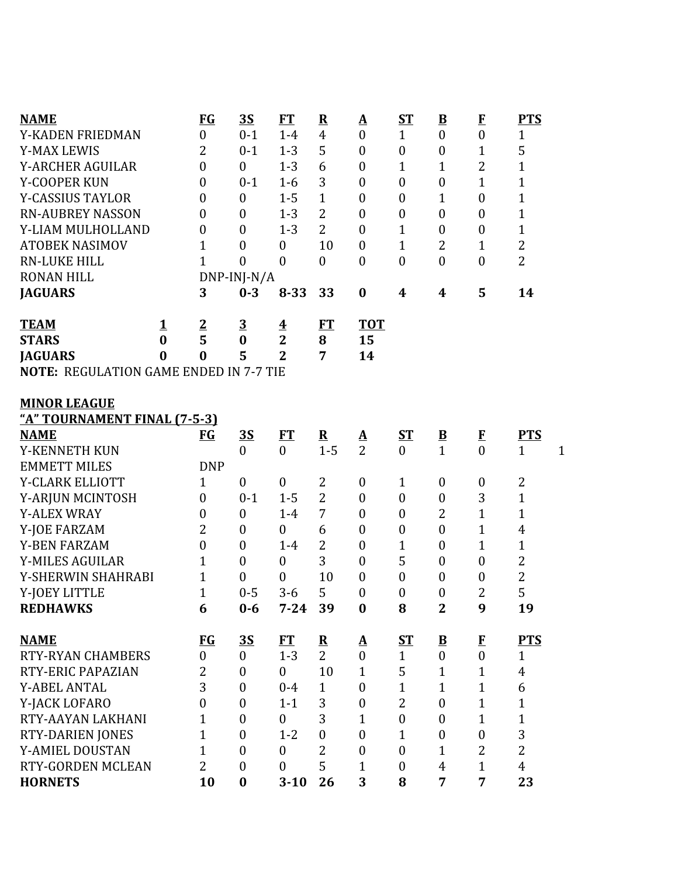| <b>NAME</b>                                   |          | <b>FG</b>        | <u>3S</u>                   | <b>FT</b>               | ${\bf R}$            | $\underline{\mathbf{A}}$                   | <u>ST</u>                 | $\underline{\mathbf{B}}$                 | $\mathbf{F}$             | <b>PTS</b>                                |
|-----------------------------------------------|----------|------------------|-----------------------------|-------------------------|----------------------|--------------------------------------------|---------------------------|------------------------------------------|--------------------------|-------------------------------------------|
| Y-KADEN FRIEDMAN                              |          | $\overline{0}$   | $0 - 1$                     | $1-4$                   | $\overline{4}$       | $\mathbf{0}$                               | $\mathbf{1}$              | $\mathbf{0}$                             | $\overline{0}$           | $\mathbf{1}$                              |
| <b>Y-MAX LEWIS</b>                            |          | $\overline{2}$   | $0 - 1$                     | $1 - 3$                 | 5                    | $\boldsymbol{0}$                           | $\boldsymbol{0}$          | $\boldsymbol{0}$                         | $\mathbf{1}$             | 5                                         |
| Y-ARCHER AGUILAR                              |          | $\mathbf{0}$     | $\boldsymbol{0}$            | $1 - 3$                 | 6                    | $\boldsymbol{0}$                           | $\mathbf{1}$              | $\mathbf 1$                              | $\overline{2}$           | $\mathbf{1}$                              |
| Y-COOPER KUN                                  |          | $\boldsymbol{0}$ | $0 - 1$                     | $1-6$                   | 3                    | $\boldsymbol{0}$                           | $\boldsymbol{0}$          | $\boldsymbol{0}$                         | $\mathbf 1$              | $\mathbf 1$                               |
| <b>Y-CASSIUS TAYLOR</b>                       |          | $\boldsymbol{0}$ | $\boldsymbol{0}$            | $1 - 5$                 | $\mathbf{1}$         | $\mathbf{0}$                               | $\boldsymbol{0}$          | $\mathbf 1$                              | $\boldsymbol{0}$         | $\mathbf{1}$                              |
| <b>RN-AUBREY NASSON</b>                       |          | $\boldsymbol{0}$ | $\boldsymbol{0}$            | $1 - 3$                 | $\overline{2}$       | $\boldsymbol{0}$                           | $\boldsymbol{0}$          | $\boldsymbol{0}$                         | $\boldsymbol{0}$         | 1                                         |
| Y-LIAM MULHOLLAND                             |          | $\boldsymbol{0}$ | $\boldsymbol{0}$            | $1 - 3$                 | $\overline{2}$       | $\boldsymbol{0}$                           | $\mathbf{1}$              | $\boldsymbol{0}$                         | $\boldsymbol{0}$         | $\mathbf 1$                               |
| <b>ATOBEK NASIMOV</b>                         |          | 1                | $\boldsymbol{0}$            | $\boldsymbol{0}$        | 10                   | $\boldsymbol{0}$                           | $\mathbf{1}$              | 2                                        | 1                        | $\overline{\mathbf{c}}$                   |
| <b>RN-LUKE HILL</b>                           |          | 1                | $\overline{0}$              | $\boldsymbol{0}$        | $\boldsymbol{0}$     | $\mathbf{0}$                               | $\boldsymbol{0}$          | $\boldsymbol{0}$                         | $\boldsymbol{0}$         | $\overline{2}$                            |
| <b>RONAN HILL</b>                             |          |                  | DNP-INJ-N/A                 |                         |                      |                                            |                           |                                          |                          |                                           |
| <b>JAGUARS</b>                                |          | 3                | $0 - 3$                     | $8 - 33$                | 33                   | $\bf{0}$                                   | 4                         | 4                                        | 5                        | 14                                        |
| <b>TEAM</b>                                   | <u>1</u> |                  | $\overline{3}$              | $\overline{\mathbf{4}}$ | FT                   | <b>TOT</b>                                 |                           |                                          |                          |                                           |
| <b>STARS</b>                                  | $\bf{0}$ | $rac{2}{5}$      | $\bf{0}$                    | $\overline{2}$          | 8                    | 15                                         |                           |                                          |                          |                                           |
| <b>JAGUARS</b>                                | $\bf{0}$ | $\bf{0}$         | 5                           | $\overline{2}$          | 7                    | 14                                         |                           |                                          |                          |                                           |
| <b>NOTE: REGULATION GAME ENDED IN 7-7 TIE</b> |          |                  |                             |                         |                      |                                            |                           |                                          |                          |                                           |
|                                               |          |                  |                             |                         |                      |                                            |                           |                                          |                          |                                           |
| <b>MINOR LEAGUE</b>                           |          |                  |                             |                         |                      |                                            |                           |                                          |                          |                                           |
| <u>"A" TOURNAMENT FINAL (7-5-3)</u>           |          |                  |                             |                         |                      |                                            |                           |                                          |                          |                                           |
| <b>NAME</b><br>Y-KENNETH KUN                  |          | $FG$             | <u>35</u><br>$\overline{0}$ | ET<br>$\theta$          | ${\bf R}$<br>$1 - 5$ | $\mathbf{\underline{A}}$<br>$\overline{2}$ | <u>ST</u><br>$\mathbf{0}$ | $\underline{\mathbf{B}}$<br>$\mathbf{1}$ | $\mathbf{F}$<br>$\theta$ | <b>PTS</b><br>$\mathbf{1}$<br>$\mathbf 1$ |
| <b>EMMETT MILES</b>                           |          | <b>DNP</b>       |                             |                         |                      |                                            |                           |                                          |                          |                                           |
| Y-CLARK ELLIOTT                               |          | $\mathbf{1}$     | $\boldsymbol{0}$            | $\boldsymbol{0}$        | 2                    | $\boldsymbol{0}$                           | $\mathbf{1}$              | $\boldsymbol{0}$                         | $\boldsymbol{0}$         | 2                                         |
| Y-ARJUN MCINTOSH                              |          | $\overline{0}$   | $0 - 1$                     | $1 - 5$                 | $\overline{2}$       | $\boldsymbol{0}$                           | $\boldsymbol{0}$          | $\boldsymbol{0}$                         | 3                        | $\mathbf{1}$                              |
| <b>Y-ALEX WRAY</b>                            |          | $\boldsymbol{0}$ | $\boldsymbol{0}$            | $1-4$                   | 7                    | $\boldsymbol{0}$                           | $\boldsymbol{0}$          | $\overline{2}$                           | $\overline{1}$           | 1                                         |
| Y-JOE FARZAM                                  |          | 2                | $\boldsymbol{0}$            | $\boldsymbol{0}$        | 6                    | $\boldsymbol{0}$                           | $\boldsymbol{0}$          | $\boldsymbol{0}$                         | $\mathbf 1$              | 4                                         |
| <b>Y-BEN FARZAM</b>                           |          | $\overline{0}$   | $\boldsymbol{0}$            | $1-4$                   | $\overline{2}$       | $\boldsymbol{0}$                           | 1                         | $\boldsymbol{0}$                         | $\mathbf{1}$             | $\mathbf{1}$                              |
| <b>Y-MILES AGUILAR</b>                        |          | 1                | $\boldsymbol{0}$            | $\boldsymbol{0}$        | 3                    | $\boldsymbol{0}$                           | 5                         | $\boldsymbol{0}$                         | $\boldsymbol{0}$         | $\overline{2}$                            |
| Y-SHERWIN SHAHRABI                            |          | $\mathbf{1}$     | 0                           | $\boldsymbol{0}$        | 10                   | $\boldsymbol{0}$                           | $\boldsymbol{0}$          | $\boldsymbol{0}$                         | $\boldsymbol{0}$         | $\overline{\mathbf{c}}$                   |
| Y-JOEY LITTLE                                 |          | $\mathbf{1}$     | $0 - 5$                     | $3 - 6$                 | 5                    | $\boldsymbol{0}$                           | $\boldsymbol{0}$          | $\boldsymbol{0}$                         | $\overline{2}$           | 5                                         |
| <b>REDHAWKS</b>                               |          | 6                | $0-6$                       | $7 - 24$                | 39                   | $\boldsymbol{0}$                           | 8                         | $\mathbf 2$                              | 9                        | 19                                        |
|                                               |          |                  |                             |                         |                      |                                            |                           |                                          |                          |                                           |
| <b>NAME</b>                                   |          | $FG$             | <u>35</u>                   | <b>FT</b>               | ${\bf R}$            | $\Delta$                                   | ST                        | $\mathbf{B}$                             | $\bf{F}$                 | <b>PTS</b>                                |
| <b>RTY-RYAN CHAMBERS</b>                      |          | $\boldsymbol{0}$ | $\boldsymbol{0}$            | $1 - 3$                 | $\overline{2}$       | $\mathbf{0}$                               | $\mathbf{1}$              | $\boldsymbol{0}$                         | $\boldsymbol{0}$         | $\mathbf{1}$                              |
| RTY-ERIC PAPAZIAN                             |          | 2                | $\boldsymbol{0}$            | $\overline{0}$          | 10                   | $\mathbf{1}$                               | 5                         | $\mathbf{1}$                             | $\mathbf{1}$             | $\overline{4}$                            |
| <b>Y-ABEL ANTAL</b>                           |          | 3                | $\boldsymbol{0}$            | $0 - 4$                 | $\mathbf{1}$         | $\boldsymbol{0}$                           | $\mathbf{1}$              | $\mathbf{1}$                             | $\mathbf{1}$             | 6                                         |
| Y-JACK LOFARO                                 |          | $\overline{0}$   | $\boldsymbol{0}$            | $1 - 1$                 | 3                    | $\boldsymbol{0}$                           | $\overline{2}$            | $\boldsymbol{0}$                         | $\mathbf 1$              | $\mathbf{1}$                              |
| RTY-AAYAN LAKHANI                             |          | 1                | $\boldsymbol{0}$            | $\overline{0}$          | 3                    | 1                                          | $\boldsymbol{0}$          | $\boldsymbol{0}$                         | $\mathbf{1}$             | $\mathbf 1$                               |
| RTY-DARIEN JONES                              |          | $\mathbf{1}$     | $\boldsymbol{0}$            | $1 - 2$                 | $\boldsymbol{0}$     | $\boldsymbol{0}$                           | $\mathbf{1}$              | $\boldsymbol{0}$                         | $\boldsymbol{0}$         | 3                                         |
| Y-AMIEL DOUSTAN                               |          | 1                | $\boldsymbol{0}$            | $\mathbf{0}$            | $\overline{2}$       | $\overline{0}$                             | $\overline{0}$            | $\mathbf{1}$                             | $\overline{2}$           | $\overline{2}$                            |
| RTY-GORDEN MCLEAN                             |          | $\overline{2}$   | $\boldsymbol{0}$            | $\mathbf{0}$            | 5                    | 1                                          | $\boldsymbol{0}$          | $\overline{4}$                           | $\mathbf{1}$             | $\overline{4}$                            |
| <b>HORNETS</b>                                |          | 10               | $\boldsymbol{0}$            | $3 - 10$                | 26                   | 3                                          | 8                         | $\overline{7}$                           | 7                        | 23                                        |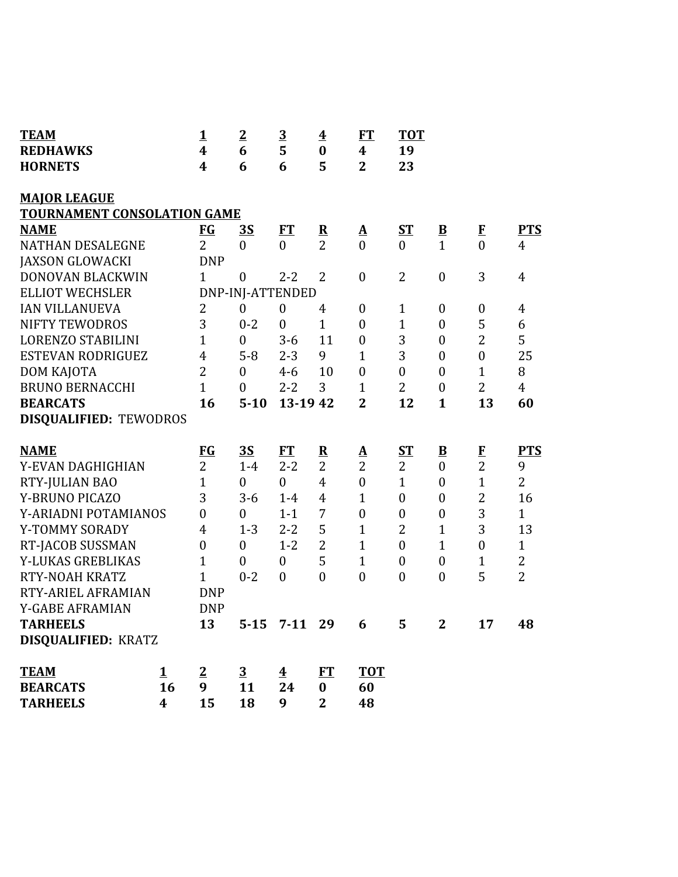| <b>TEAM</b>                        | 1                       | $\overline{2}$   | $\overline{3}$          | $\overline{\mathbf{4}}$ | ET                       | <b>TOT</b>       |                         |                  |                |
|------------------------------------|-------------------------|------------------|-------------------------|-------------------------|--------------------------|------------------|-------------------------|------------------|----------------|
| <b>REDHAWKS</b>                    | $\overline{\mathbf{4}}$ | 6                | 5                       | $\bf{0}$                | $\boldsymbol{4}$         | 19               |                         |                  |                |
| <b>HORNETS</b>                     | 4                       | 6                | 6                       | 5                       | $\overline{2}$           | 23               |                         |                  |                |
| <b>MAJOR LEAGUE</b>                |                         |                  |                         |                         |                          |                  |                         |                  |                |
| <b>TOURNAMENT CONSOLATION GAME</b> |                         |                  |                         |                         |                          |                  |                         |                  |                |
| <b>NAME</b>                        | <u>FG</u>               | <u>35</u>        | FT                      | $\overline{\mathbf{R}}$ | $\mathbf{\underline{A}}$ | <u>ST</u>        | $\overline{\mathbf{B}}$ | $\bf{F}$         | <b>PTS</b>     |
| <b>NATHAN DESALEGNE</b>            | $\overline{2}$          | $\boldsymbol{0}$ | $\overline{0}$          | $\overline{2}$          | $\overline{0}$           | $\overline{0}$   | $\mathbf{1}$            | $\overline{0}$   | $\overline{4}$ |
| <b>JAXSON GLOWACKI</b>             | <b>DNP</b>              |                  |                         |                         |                          |                  |                         |                  |                |
| DONOVAN BLACKWIN                   | $\mathbf{1}$            | $\boldsymbol{0}$ | $2 - 2$                 | $\overline{2}$          | $\boldsymbol{0}$         | 2                | $\boldsymbol{0}$        | 3                | $\overline{4}$ |
| <b>ELLIOT WECHSLER</b>             |                         | DNP-INJ-ATTENDED |                         |                         |                          |                  |                         |                  |                |
| <b>IAN VILLANUEVA</b>              | $\overline{2}$          | $\boldsymbol{0}$ | $\boldsymbol{0}$        | 4                       | $\boldsymbol{0}$         | $\mathbf{1}$     | $\boldsymbol{0}$        | $\boldsymbol{0}$ | $\overline{4}$ |
| <b>NIFTY TEWODROS</b>              | 3                       | $0 - 2$          | $\boldsymbol{0}$        | $\mathbf{1}$            | $\boldsymbol{0}$         | $\mathbf{1}$     | $\boldsymbol{0}$        | 5                | 6              |
| <b>LORENZO STABILINI</b>           | $\mathbf 1$             | $\boldsymbol{0}$ | $3 - 6$                 | 11                      | $\boldsymbol{0}$         | 3                | $\boldsymbol{0}$        | $\overline{c}$   | 5              |
| <b>ESTEVAN RODRIGUEZ</b>           | $\overline{4}$          | $5 - 8$          | $2 - 3$                 | 9                       | $\mathbf{1}$             | 3                | $\boldsymbol{0}$        | $\boldsymbol{0}$ | 25             |
| DOM KAJOTA                         | $\overline{2}$          | $\mathbf{0}$     | $4 - 6$                 | 10                      | $\boldsymbol{0}$         | $\boldsymbol{0}$ | $\boldsymbol{0}$        | $\mathbf{1}$     | 8              |
| <b>BRUNO BERNACCHI</b>             | $\overline{1}$          | $\overline{0}$   | $2 - 2$                 | 3                       | $\mathbf{1}$             | 2                | $\boldsymbol{0}$        | $\overline{2}$   | $\overline{4}$ |
| <b>BEARCATS</b>                    | 16                      | $5 - 10$         | 13-19 42                |                         | $\overline{2}$           | 12               | $\mathbf{1}$            | 13               | 60             |
| <b>DISQUALIFIED: TEWODROS</b>      |                         |                  |                         |                         |                          |                  |                         |                  |                |
| <b>NAME</b>                        | $FG$                    | 3S               | ET                      | ${\bf R}$               | $\underline{\mathbf{A}}$ | $S_{\rm T}$      | $\overline{\mathbf{B}}$ |                  | <b>PTS</b>     |
| Y-EVAN DAGHIGHIAN                  | $\overline{2}$          | $1-4$            | $2 - 2$                 | $\overline{2}$          | $\overline{2}$           | $\overline{2}$   | $\boldsymbol{0}$        | $\frac{F}{2}$    | 9              |
| RTY-JULIAN BAO                     | $\mathbf{1}$            | $\boldsymbol{0}$ | $\boldsymbol{0}$        | $\overline{4}$          | $\boldsymbol{0}$         | $\mathbf{1}$     | $\boldsymbol{0}$        | $\overline{1}$   | $\overline{2}$ |
| Y-BRUNO PICAZO                     | 3                       | $3 - 6$          | $1-4$                   | $\overline{4}$          | $\mathbf{1}$             | $\boldsymbol{0}$ | $\boldsymbol{0}$        | $\overline{c}$   | 16             |
| Y-ARIADNI POTAMIANOS               | $\overline{0}$          | $\overline{0}$   | $1 - 1$                 | 7                       | $\boldsymbol{0}$         | $\boldsymbol{0}$ | $\boldsymbol{0}$        | 3                | $\mathbf{1}$   |
| Y-TOMMY SORADY                     | 4                       | $1 - 3$          | $2 - 2$                 | 5                       | $\mathbf{1}$             | $\overline{2}$   | $\mathbf{1}$            | 3                | 13             |
| RT-JACOB SUSSMAN                   | $\boldsymbol{0}$        | $\boldsymbol{0}$ | $1 - 2$                 | $\overline{2}$          | $\mathbf{1}$             | $\overline{0}$   | $\mathbf{1}$            | $\boldsymbol{0}$ | $\mathbf{1}$   |
| Y-LUKAS GREBLIKAS                  | $\mathbf{1}$            | $\boldsymbol{0}$ | $\boldsymbol{0}$        | 5                       | $\mathbf{1}$             | $\boldsymbol{0}$ | $\boldsymbol{0}$        | 1                | $\overline{c}$ |
| <b>RTY-NOAH KRATZ</b>              | $\overline{1}$          | $0 - 2$          | $\overline{0}$          | $\mathbf{0}$            | $\boldsymbol{0}$         | $\overline{0}$   | $\boldsymbol{0}$        | 5                | $\overline{2}$ |
| RTY-ARIEL AFRAMIAN                 | <b>DNP</b>              |                  |                         |                         |                          |                  |                         |                  |                |
| <b>Y-GABE AFRAMIAN</b>             | <b>DNP</b>              |                  |                         |                         |                          |                  |                         |                  |                |
| <b>TARHEELS</b>                    | 13                      |                  | 5-15 7-11 29            |                         | 6                        | 5                | $\mathbf{2}$            | 17               | 48             |
| <b>DISQUALIFIED: KRATZ</b>         |                         |                  |                         |                         |                          |                  |                         |                  |                |
| <b>TEAM</b><br><u>1</u>            | $\overline{2}$          | $\overline{3}$   | $\overline{\textbf{4}}$ | ET                      | <b>TOT</b>               |                  |                         |                  |                |
| 16<br><b>BEARCATS</b>              | 9                       | 11               | 24                      | $\bf{0}$                | 60                       |                  |                         |                  |                |
| 4<br><b>TARHEELS</b>               | 15                      | 18               | 9                       | $\overline{2}$          | 48                       |                  |                         |                  |                |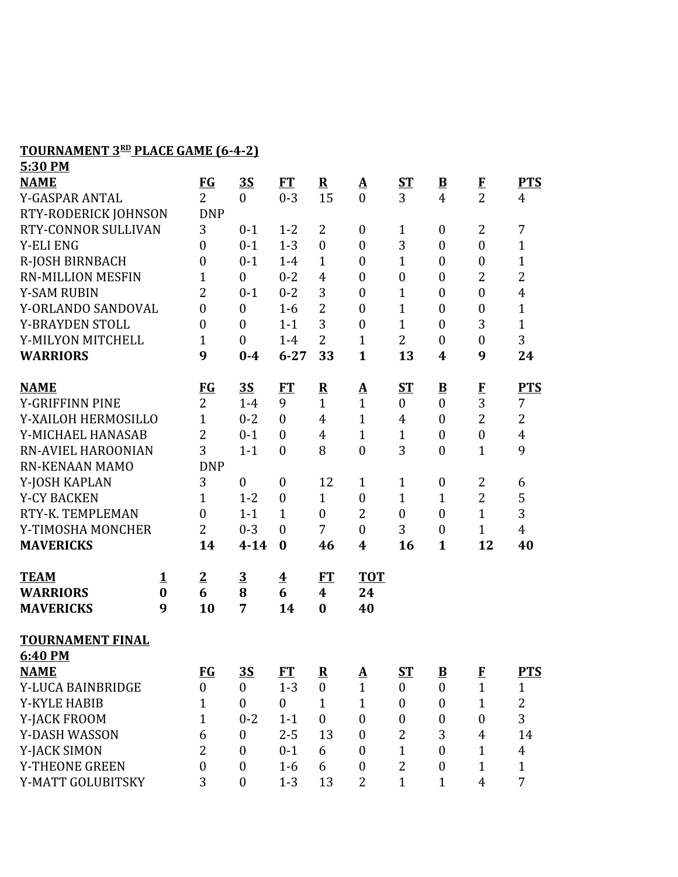## **TOURNAMENT 3 RD PLACE GAME (6-4-2) 5:30 PM**

| <u>э:эи ги</u>            |          |                  |                  |                         |                         |                          |                  |                          |                  |                |
|---------------------------|----------|------------------|------------------|-------------------------|-------------------------|--------------------------|------------------|--------------------------|------------------|----------------|
| <b>NAME</b>               |          | $FG$             | <u>35</u>        | FT                      | ${\bf R}$               | $\mathbf{\underline{A}}$ | <u>ST</u>        | $\underline{\mathbf{B}}$ | $\bf{F}$         | <b>PTS</b>     |
| Y-GASPAR ANTAL            |          | $\overline{2}$   | $\overline{0}$   | $0 - 3$                 | 15                      | $\overline{0}$           | 3                | 4                        | $\overline{2}$   | $\overline{4}$ |
| RTY-RODERICK JOHNSON      |          | <b>DNP</b>       |                  |                         |                         |                          |                  |                          |                  |                |
| RTY-CONNOR SULLIVAN       |          | 3                | $0 - 1$          | $1 - 2$                 | $\overline{2}$          | $\boldsymbol{0}$         | 1                | $\boldsymbol{0}$         | $\overline{2}$   | 7              |
| <b>Y-ELI ENG</b>          |          | $\boldsymbol{0}$ | $0 - 1$          | $1 - 3$                 | $\boldsymbol{0}$        | $\boldsymbol{0}$         | 3                | $\boldsymbol{0}$         | $\boldsymbol{0}$ | $\mathbf{1}$   |
| R-JOSH BIRNBACH           |          | $\boldsymbol{0}$ | $0 - 1$          | $1-4$                   | $\mathbf{1}$            | $\boldsymbol{0}$         | $\mathbf{1}$     | $\overline{0}$           | $\boldsymbol{0}$ | $\mathbf{1}$   |
| <b>RN-MILLION MESFIN</b>  |          | $\overline{1}$   | $\overline{0}$   | $0 - 2$                 | $\overline{4}$          | $\boldsymbol{0}$         | $\boldsymbol{0}$ | $\boldsymbol{0}$         | $\overline{2}$   | $\overline{2}$ |
| <b>Y-SAM RUBIN</b>        |          | $\overline{2}$   | $0 - 1$          | $0 - 2$                 | 3                       | $\boldsymbol{0}$         | $\mathbf 1$      | $\overline{0}$           | $\overline{0}$   | $\overline{4}$ |
| Y-ORLANDO SANDOVAL        |          | $\boldsymbol{0}$ | $\theta$         | $1-6$                   | $\overline{2}$          | $\boldsymbol{0}$         | $\overline{1}$   | $\overline{0}$           | $\boldsymbol{0}$ | $\mathbf{1}$   |
| Y-BRAYDEN STOLL           |          | $\boldsymbol{0}$ | $\overline{0}$   | $1 - 1$                 | 3                       | $\boldsymbol{0}$         | $\overline{1}$   | $\boldsymbol{0}$         | 3                | $\mathbf{1}$   |
| Y-MILYON MITCHELL         |          | $\mathbf{1}$     | $\mathbf{0}$     | $1-4$                   | $\overline{2}$          | $\overline{1}$           | $\overline{2}$   | $\overline{0}$           | $\overline{0}$   | 3              |
| <b>WARRIORS</b>           |          | 9                | $0 - 4$          | $6 - 27$                | 33                      | $\mathbf{1}$             | 13               | 4                        | 9                | 24             |
| <b>NAME</b>               |          | <b>FG</b>        | <u>35</u>        | <b>FT</b>               | $\overline{\mathbf{R}}$ | <u>A</u>                 | ST               | $\underline{\mathbf{B}}$ | $\mathbf{F}$     | <b>PTS</b>     |
| <b>Y-GRIFFINN PINE</b>    |          | $\overline{2}$   | $1-4$            | 9                       | $\mathbf{1}$            | $\mathbf{1}$             | $\boldsymbol{0}$ | $\boldsymbol{0}$         | 3                | 7              |
| Y-XAILOH HERMOSILLO       |          | $\overline{1}$   | $0 - 2$          | $\overline{0}$          | $\overline{4}$          | $\mathbf{1}$             | $\overline{4}$   | $\boldsymbol{0}$         | $\overline{2}$   | $\overline{2}$ |
| Y-MICHAEL HANASAB         |          | $\overline{2}$   | $0 - 1$          | $\overline{0}$          | $\overline{4}$          | $\mathbf{1}$             | $\mathbf{1}$     | $\overline{0}$           | $\boldsymbol{0}$ | $\overline{4}$ |
| <b>RN-AVIEL HAROONIAN</b> |          | 3                | $1 - 1$          | $\mathbf{0}$            | 8                       | $\boldsymbol{0}$         | 3                | $\boldsymbol{0}$         | $\mathbf{1}$     | 9              |
| <b>RN-KENAAN MAMO</b>     |          | <b>DNP</b>       |                  |                         |                         |                          |                  |                          |                  |                |
| Y-JOSH KAPLAN             |          | 3                | $\mathbf{0}$     | $\boldsymbol{0}$        | 12                      | $\mathbf{1}$             | 1                | $\boldsymbol{0}$         | 2                | 6              |
| <b>Y-CY BACKEN</b>        |          | $\overline{1}$   | $1 - 2$          | $\boldsymbol{0}$        | $\mathbf{1}$            | $\boldsymbol{0}$         | $\mathbf{1}$     | $\mathbf{1}$             | $\overline{2}$   | 5              |
| RTY-K. TEMPLEMAN          |          | $\boldsymbol{0}$ | $1 - 1$          | $\mathbf{1}$            | $\boldsymbol{0}$        | $\overline{2}$           | $\boldsymbol{0}$ | $\boldsymbol{0}$         | $\mathbf{1}$     | 3              |
| Y-TIMOSHA MONCHER         |          | $\overline{2}$   | $0 - 3$          | $\theta$                | 7                       | $\boldsymbol{0}$         | 3                | $\boldsymbol{0}$         | $\mathbf{1}$     | $\overline{4}$ |
| <b>MAVERICKS</b>          |          | 14               | $4 - 14$         | $\bf{0}$                | 46                      | 4                        | 16               | $\mathbf{1}$             | 12               | 40             |
| <b>TEAM</b>               | <u>1</u> | $\overline{2}$   | $\overline{3}$   | $\overline{\mathbf{4}}$ | FT                      | <b>TOT</b>               |                  |                          |                  |                |
| <b>WARRIORS</b>           | $\bf{0}$ | 6                | 8                | 6                       | $\boldsymbol{4}$        | 24                       |                  |                          |                  |                |
| <b>MAVERICKS</b>          | 9        | 10               | 7                | 14                      | $\bf{0}$                | 40                       |                  |                          |                  |                |
|                           |          |                  |                  |                         |                         |                          |                  |                          |                  |                |
| <b>TOURNAMENT FINAL</b>   |          |                  |                  |                         |                         |                          |                  |                          |                  |                |
| 6:40 PM                   |          |                  |                  |                         |                         |                          |                  |                          |                  |                |
| <b>NAME</b>               |          | $\underline{FG}$ | <u>35</u>        | FT                      | $\overline{\mathbf{R}}$ | <u>A</u>                 | <u>ST</u>        | $\overline{\mathbf{B}}$  | E                | <u>PTS</u>     |
| Y-LUCA BAINBRIDGE         |          | $\boldsymbol{0}$ | $\boldsymbol{0}$ | $1 - 3$                 | $\boldsymbol{0}$        | $\mathbf{1}$             | $\overline{0}$   | $\boldsymbol{0}$         | $\overline{1}$   | $\mathbf{1}$   |
| Y-KYLE HABIB              |          | $\mathbf{1}$     | $\boldsymbol{0}$ | $\overline{0}$          | $\mathbf{1}$            | $\mathbf{1}$             | $\boldsymbol{0}$ | $\boldsymbol{0}$         | $\mathbf{1}$     | $\overline{2}$ |
| Y-JACK FROOM              |          | 1                | $0 - 2$          | $1 - 1$                 | $\boldsymbol{0}$        | $\boldsymbol{0}$         | $\boldsymbol{0}$ | $\boldsymbol{0}$         | $\boldsymbol{0}$ | 3              |
| Y-DASH WASSON             |          | 6                | $\boldsymbol{0}$ | $2 - 5$                 | 13                      | $\boldsymbol{0}$         | $\overline{2}$   | 3                        | 4                | 14             |
| Y-JACK SIMON              |          | $\overline{2}$   | $\overline{0}$   | $0 - 1$                 | 6                       | $\boldsymbol{0}$         | $\mathbf{1}$     | $\boldsymbol{0}$         | $\mathbf{1}$     | $\overline{4}$ |
| Y-THEONE GREEN            |          | $\overline{0}$   | $\mathbf{0}$     | $1 - 6$                 | 6                       | $\boldsymbol{0}$         | $\overline{2}$   | $\mathbf{0}$             | $\mathbf{1}$     | $\mathbf{1}$   |
| Y-MATT GOLUBITSKY         |          | 3                | $\boldsymbol{0}$ | $1 - 3$                 | 13                      | 2                        | $\mathbf{1}$     | $\mathbf{1}$             | $\overline{4}$   | $\overline{7}$ |
|                           |          |                  |                  |                         |                         |                          |                  |                          |                  |                |